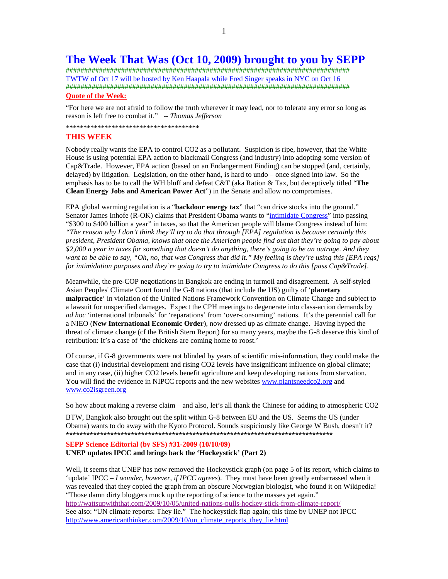## **The Week That Was (Oct 10, 2009) brought to you by SEPP**

############################################################################# TWTW of Oct 17 will be hosted by Ken Haapala while Fred Singer speaks in NYC on Oct 16 ############################################################################# **Quote of the Week:**

"For here we are not afraid to follow the truth wherever it may lead, nor to tolerate any error so long as reason is left free to combat it." -- *Thomas Jefferson* 

\*\*\*\*\*\*\*\*\*\*\*\*\*\*\*\*\*\*\*\*\*\*\*\*\*\*\*\*\*\*\*\*\*\*\*\*\*\*

## **THIS WEEK**

Nobody really wants the EPA to control CO2 as a pollutant. Suspicion is ripe, however, that the White House is using potential EPA action to blackmail Congress (and industry) into adopting some version of Cap&Trade. However, EPA action (based on an Endangerment Finding) can be stopped (and, certainly, delayed) by litigation. Legislation, on the other hand, is hard to undo – once signed into law. So the emphasis has to be to call the WH bluff and defeat C&T (aka Ration & Tax, but deceptively titled "**The Clean Energy Jobs and American Power Act**") in the Senate and allow no compromises.

EPA global warming regulation is a "**backdoor energy tax**" that "can drive stocks into the ground." Senator James Inhofe (R-OK) claims that President Obama wants to "intimidate Congress" into passing "\$300 to \$400 billion a year" in taxes, so that the American people will blame Congress instead of him: *"The reason why I don't think they'll try to do that through [EPA] regulation is because certainly this president, President Obama, knows that once the American people find out that they're going to pay about \$2,000 a year in taxes for something that doesn't do anything, there's going to be an outrage. And they want to be able to say, "Oh, no, that was Congress that did it." My feeling is they're using this [EPA regs] for intimidation purposes and they're going to try to intimidate Congress to do this [pass Cap&Trade].*

Meanwhile, the pre-COP negotiations in Bangkok are ending in turmoil and disagreement. A self-styled Asian Peoples' Climate Court found the G-8 nations (that include the US) guilty of '**planetary malpractice**' in violation of the United Nations Framework Convention on Climate Change and subject to a lawsuit for unspecified damages. Expect the CPH meetings to degenerate into class-action demands by *ad hoc* 'international tribunals' for 'reparations' from 'over-consuming' nations. It's the perennial call for a NIEO (**New International Economic Order**), now dressed up as climate change. Having hyped the threat of climate change (cf the British Stern Report) for so many years, maybe the G-8 deserve this kind of retribution: It's a case of 'the chickens are coming home to roost.'

Of course, if G-8 governments were not blinded by years of scientific mis-information, they could make the case that (i) industrial development and rising CO2 levels have insignificant influence on global climate; and in any case, (ii) higher CO2 levels benefit agriculture and keep developing nations from starvation. You will find the evidence in NIPCC reports and the new websites www.plantsneedco2.org and www.co2isgreen.org

So how about making a reverse claim – and also, let's all thank the Chinese for adding to atmospheric CO2

BTW, Bangkok also brought out the split within G-8 between EU and the US. Seems the US (under Obama) wants to do away with the Kyoto Protocol. Sounds suspiciously like George W Bush, doesn't it? \*\*\*\*\*\*\*\*\*\*\*\*\*\*\*\*\*\*\*\*\*\*\*\*\*\*\*\*\*\*\*\*\*\*\*\*\*\*\*\*\*\*\*\*\*\*\*\*\*\*\*\*\*\*\*\*\*\*\*\*\*\*\*\*\*\*\*\*\*\*\*\*\*\*\*\*\*\*

#### **SEPP Science Editorial (by SFS) #31-2009 (10/10/09) UNEP updates IPCC and brings back the 'Hockeystick' (Part 2)**

Well, it seems that UNEP has now removed the Hockeystick graph (on page 5 of its report, which claims to 'update' IPCC – *I wonder, however, if IPCC agrees*). They must have been greatly embarrassed when it was revealed that they copied the graph from an obscure Norwegian biologist, who found it on Wikipedia! "Those damn dirty bloggers muck up the reporting of science to the masses yet again." http://wattsupwiththat.com/2009/10/05/united-nations-pulls-hockey-stick-from-climate-report/ See also: "UN climate reports: They lie." The hockeystick flap again; this time by UNEP not IPCC http://www.americanthinker.com/2009/10/un\_climate\_reports\_they\_lie.html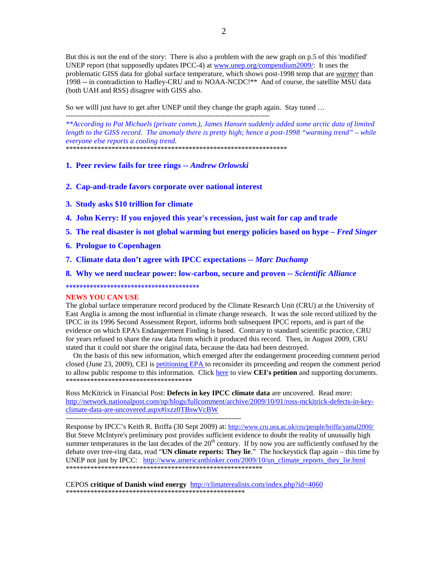But this is not the end of the story: There is also a problem with the new graph on p.5 of this 'modified' UNEP report (that supposedly updates IPCC-4) at www.unep.org/compendium2009/: It uses the problematic GISS data for global surface temperature, which shows post-1998 temp that are *warmer* than 1998 -- in contradiction to Hadley-CRU and to NOAA-NCDC!\*\* And of course, the satellite MSU data (both UAH and RSS) disagree with GISS also.

So we willl just have to get after UNEP until they change the graph again. Stay tuned …

*\*\*According to Pat Michaels (private comm.), James Hansen suddenly added some arctic data of limited length to the GISS record. The anomaly there is pretty high; hence a post-1998 "warming trend" – while everyone else reports a cooling trend.* 

\*\*\*\*\*\*\*\*\*\*\*\*\*\*\*\*\*\*\*\*\*\*\*\*\*\*\*\*\*\*\*\*\*\*\*\*\*\*\*\*\*\*\*\*\*\*\*\*\*\*\*\*\*\*\*\*\*\*\*\*\*\*\*

### **1. Peer review fails for tree rings --** *Andrew Orlowski*

- **2. Cap-and-trade favors corporate over national interest**
- **3. Study asks \$10 trillion for climate**
- **4. John Kerry: If you enjoyed this year's recession, just wait for cap and trade**
- **5. The real disaster is not global warming but energy policies based on hype** *Fred Singer*
- **6. Prologue to Copenhagen**
- **7. Climate data don't agree with IPCC expectations --** *Marc Duchamp*
- **8. Why we need nuclear power: low-carbon, secure and proven --** *Scientific Alliance*

\*\*\*\*\*\*\*\*\*\*\*\*\*\*\*\*\*\*\*\*\*\*\*\*\*\*\*\*\*\*\*\*\*\*\*\*\*\*\*

--------------------------------------------------------------------------

#### **NEWS YOU CAN USE**

The global surface temperature record produced by the Climate Research Unit (CRU) at the University of East Anglia is among the most influential in climate change research. It was the sole record utilized by the IPCC in its 1996 Second Assessment Report, informs both subsequent IPCC reports, and is part of the evidence on which EPA's Endangerment Finding is based. Contrary to standard scientific practice, CRU for years refused to share the raw data from which it produced this record. Then, in August 2009, CRU stated that it could not share the original data, because the data had been destroyed.

 On the basis of this new information, which emerged after the endangerment proceeding comment period closed (June 23, 2009), CEI is petitioning EPA to reconsider its proceeding and reopen the comment period to allow public response to this information. Click here to view **CEI's petition** and supporting documents. \*\*\*\*\*\*\*\*\*\*\*\*\*\*\*\*\*\*\*\*\*\*\*\*\*\*\*\*\*\*\*\*\*\*\*\*

Ross McKitrick in Financial Post: **Defects in key IPCC climate data** are uncovered. Read more: http://network.nationalpost.com/np/blogs/fullcomment/archive/2009/10/01/ross-mckitrick-defects-in-keyclimate-data-are-uncovered.aspx#ixzz0TBswVcBW

Response by IPCC's Keith R. Briffa (30 Sept 2009) at: http://www.cru.uea.ac.uk/cru/people/briffa/yamal2000/ But Steve McIntyre's preliminary post provides sufficient evidence to doubt the reality of unusually high summer temperatures in the last decades of the  $20<sup>th</sup>$  century. If by now you are sufficiently confused by the debate over tree-ring data, read "**UN climate reports: They lie**." The hockeystick flap again – this time by UNEP not just by IPCC: http://www.americanthinker.com/2009/10/un\_climate\_reports\_they\_lie.html \*\*\*\*\*\*\*\*\*\*\*\*\*\*\*\*\*\*\*\*\*\*\*\*\*\*\*\*\*\*\*\*\*\*\*\*\*\*\*\*\*\*\*\*\*\*\*\*\*\*\*\*\*\*\*\*

CEPOS **critique of Danish wind energy** http://climaterealists.com/index.php?id=4060 \*\*\*\*\*\*\*\*\*\*\*\*\*\*\*\*\*\*\*\*\*\*\*\*\*\*\*\*\*\*\*\*\*\*\*\*\*\*\*\*\*\*\*\*\*\*\*\*\*\*\*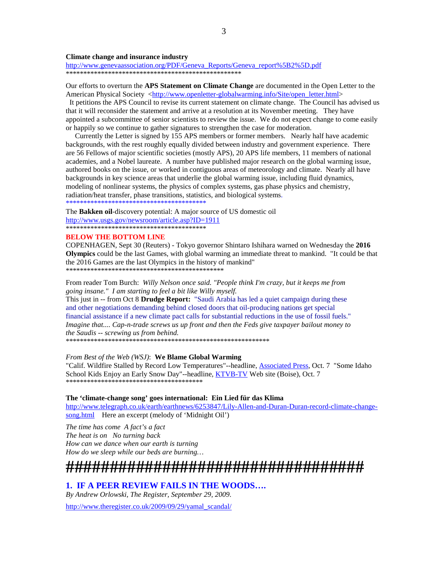#### **Climate change and insurance industry**

http://www.genevaassociation.org/PDF/Geneva Reports/Geneva report%5B2%5D.pdf 

Our efforts to overturn the APS Statement on Climate Change are documented in the Open Letter to the American Physical Society <http://www.openletter-globalwarming.info/Site/open letter.html>

It petitions the APS Council to revise its current statement on climate change. The Council has advised us that it will reconsider the statement and arrive at a resolution at its November meeting. They have appointed a subcommittee of senior scientists to review the issue. We do not expect change to come easily or happily so we continue to gather signatures to strengthen the case for moderation.

Currently the Letter is signed by 155 APS members or former members. Nearly half have academic backgrounds, with the rest roughly equally divided between industry and government experience. There are 56 Fellows of major scientific societies (mostly APS), 20 APS life members, 11 members of national academies, and a Nobel laureate. A number have published major research on the global warming issue, authored books on the issue, or worked in contiguous areas of meteorology and climate. Nearly all have backgrounds in key science areas that underlie the global warming issue, including fluid dynamics, modeling of nonlinear systems, the physics of complex systems, gas phase physics and chemistry, radiation/heat transfer, phase transitions, statistics, and biological systems. 

The Bakken oil-discovery potential: A major source of US domestic oil http://www.usgs.gov/newsroom/article.asp?ID=1911 

#### **BELOW THE BOTTOM LINE**

COPENHAGEN, Sept 30 (Reuters) - Tokyo governor Shintaro Ishihara warned on Wednesday the 2016 Olympics could be the last Games, with global warming an immediate threat to mankind. "It could be that the 2016 Games are the last Olympics in the history of mankind" 

From reader Tom Burch: Willy Nelson once said. "People think I'm crazy, but it keeps me from going insane." I am starting to feel a bit like Willy myself.

This just in -- from Oct 8 Drudge Report: "Saudi Arabia has led a quiet campaign during these and other negotiations demanding behind closed doors that oil-producing nations get special financial assistance if a new climate pact calls for substantial reductions in the use of fossil fuels." Imagine that.... Cap-n-trade screws us up front and then the Feds give taxpayer bailout money to the Saudis -- screwing us from behind.

From Best of the Web (WSJ): We Blame Global Warming

"Calif. Wildfire Stalled by Record Low Temperatures"--headline, Associated Press, Oct. 7 "Some Idaho School Kids Enjoy an Early Snow Day"--headline, KTVB-TV Web site (Boise), Oct. 7 

#### The 'climate-change song' goes international: Ein Lied für das Klima

http://www.telegraph.co.uk/earth/earthnews/6253847/Lily-Allen-and-Duran-Duran-record-climate-changesong.html Here an excerpt (melody of 'Midnight Oil')

The time has come A fact's a fact The heat is on No turning back How can we dance when our earth is turning How do we sleep while our beds are burning...

# 

### 1. IF A PEER REVIEW FAILS IN THE WOODS....

By Andrew Orlowski, The Register, September 29, 2009.

http://www.theregister.co.uk/2009/09/29/yamal\_scandal/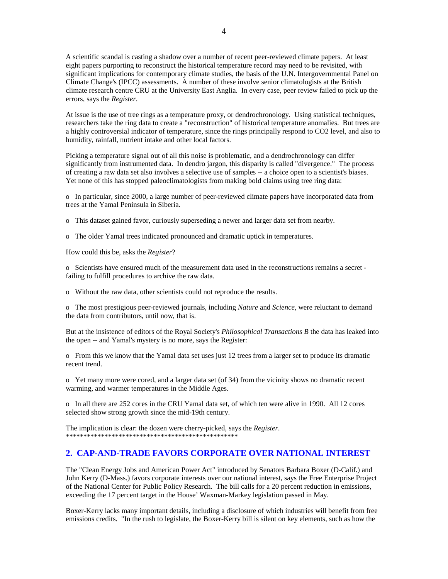A scientific scandal is casting a shadow over a number of recent peer-reviewed climate papers. At least eight papers purporting to reconstruct the historical temperature record may need to be revisited, with significant implications for contemporary climate studies, the basis of the U.N. Intergovernmental Panel on Climate Change's (IPCC) assessments. A number of these involve senior climatologists at the British climate research centre CRU at the University East Anglia. In every case, peer review failed to pick up the errors, says the *Register*.

At issue is the use of tree rings as a temperature proxy, or dendrochronology. Using statistical techniques, researchers take the ring data to create a "reconstruction" of historical temperature anomalies. But trees are a highly controversial indicator of temperature, since the rings principally respond to CO2 level, and also to humidity, rainfall, nutrient intake and other local factors.

Picking a temperature signal out of all this noise is problematic, and a dendrochronology can differ significantly from instrumented data. In dendro jargon, this disparity is called "divergence." The process of creating a raw data set also involves a selective use of samples -- a choice open to a scientist's biases. Yet none of this has stopped paleoclimatologists from making bold claims using tree ring data:

o In particular, since 2000, a large number of peer-reviewed climate papers have incorporated data from trees at the Yamal Peninsula in Siberia.

o This dataset gained favor, curiously superseding a newer and larger data set from nearby.

o The older Yamal trees indicated pronounced and dramatic uptick in temperatures.

How could this be, asks the *Register*?

o Scientists have ensured much of the measurement data used in the reconstructions remains a secret failing to fulfill procedures to archive the raw data.

o Without the raw data, other scientists could not reproduce the results.

o The most prestigious peer-reviewed journals, including *Nature* and *Science*, were reluctant to demand the data from contributors, until now, that is.

But at the insistence of editors of the Royal Society's *Philosophical Transactions B* the data has leaked into the open -- and Yamal's mystery is no more, says the Register:

o From this we know that the Yamal data set uses just 12 trees from a larger set to produce its dramatic recent trend.

o Yet many more were cored, and a larger data set (of 34) from the vicinity shows no dramatic recent warming, and warmer temperatures in the Middle Ages.

o In all there are 252 cores in the CRU Yamal data set, of which ten were alive in 1990. All 12 cores selected show strong growth since the mid-19th century.

The implication is clear: the dozen were cherry-picked, says the *Register*. \*\*\*\*\*\*\*\*\*\*\*\*\*\*\*\*\*\*\*\*\*\*\*\*\*\*\*\*\*\*\*\*\*\*\*\*\*\*\*\*\*\*\*\*\*\*\*\*\*

## **2. CAP-AND-TRADE FAVORS CORPORATE OVER NATIONAL INTEREST**

The "Clean Energy Jobs and American Power Act" introduced by Senators Barbara Boxer (D-Calif.) and John Kerry (D-Mass.) favors corporate interests over our national interest, says the Free Enterprise Project of the National Center for Public Policy Research. The bill calls for a 20 percent reduction in emissions, exceeding the 17 percent target in the House' Waxman-Markey legislation passed in May.

Boxer-Kerry lacks many important details, including a disclosure of which industries will benefit from free emissions credits. "In the rush to legislate, the Boxer-Kerry bill is silent on key elements, such as how the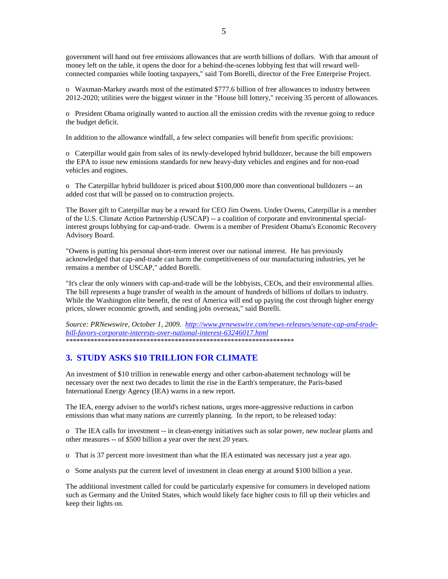government will hand out free emissions allowances that are worth billions of dollars. With that amount of money left on the table, it opens the door for a behind-the-scenes lobbying fest that will reward wellconnected companies while looting taxpayers," said Tom Borelli, director of the Free Enterprise Project.

o Waxman-Markey awards most of the estimated \$777.6 billion of free allowances to industry between 2012-2020; utilities were the biggest winner in the "House bill lottery," receiving 35 percent of allowances.

o President Obama originally wanted to auction all the emission credits with the revenue going to reduce the budget deficit.

In addition to the allowance windfall, a few select companies will benefit from specific provisions:

o Caterpillar would gain from sales of its newly-developed hybrid bulldozer, because the bill empowers the EPA to issue new emissions standards for new heavy-duty vehicles and engines and for non-road vehicles and engines.

o The Caterpillar hybrid bulldozer is priced about \$100,000 more than conventional bulldozers -- an added cost that will be passed on to construction projects.

The Boxer gift to Caterpillar may be a reward for CEO Jim Owens. Under Owens, Caterpillar is a member of the U.S. Climate Action Partnership (USCAP) -- a coalition of corporate and environmental specialinterest groups lobbying for cap-and-trade. Owens is a member of President Obama's Economic Recovery Advisory Board.

"Owens is putting his personal short-term interest over our national interest. He has previously acknowledged that cap-and-trade can harm the competitiveness of our manufacturing industries, yet he remains a member of USCAP," added Borelli.

"It's clear the only winners with cap-and-trade will be the lobbyists, CEOs, and their environmental allies. The bill represents a huge transfer of wealth in the amount of hundreds of billions of dollars to industry. While the Washington elite benefit, the rest of America will end up paying the cost through higher energy prices, slower economic growth, and sending jobs overseas," said Borelli.

*Source: PRNewswire, October 1, 2009. http://www.prnewswire.com/news-releases/senate-cap-and-tradebill-favors-corporate-interests-over-national-interest-63246017.html* \*\*\*\*\*\*\*\*\*\*\*\*\*\*\*\*\*\*\*\*\*\*\*\*\*\*\*\*\*\*\*\*\*\*\*\*\*\*\*\*\*\*\*\*\*\*\*\*\*\*\*\*\*\*\*\*\*\*\*\*\*\*\*\*\*

## **3. STUDY ASKS \$10 TRILLION FOR CLIMATE**

An investment of \$10 trillion in renewable energy and other carbon-abatement technology will be necessary over the next two decades to limit the rise in the Earth's temperature, the Paris-based International Energy Agency (IEA) warns in a new report.

The IEA, energy adviser to the world's richest nations, urges more-aggressive reductions in carbon emissions than what many nations are currently planning. In the report, to be released today:

o The IEA calls for investment -- in clean-energy initiatives such as solar power, new nuclear plants and other measures -- of \$500 billion a year over the next 20 years.

o That is 37 percent more investment than what the IEA estimated was necessary just a year ago.

o Some analysts put the current level of investment in clean energy at around \$100 billion a year.

The additional investment called for could be particularly expensive for consumers in developed nations such as Germany and the United States, which would likely face higher costs to fill up their vehicles and keep their lights on.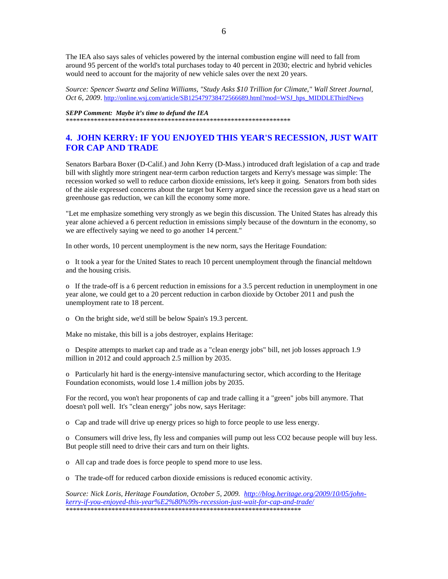The IEA also says sales of vehicles powered by the internal combustion engine will need to fall from around 95 percent of the world's total purchases today to 40 percent in 2030; electric and hybrid vehicles would need to account for the majority of new vehicle sales over the next 20 years.

*Source: Spencer Swartz and Selina Williams, "Study Asks \$10 Trillion for Climate," Wall Street Journal, Oct 6, 2009.* http://online.wsj.com/article/SB125479738472566689.html?mod=WSJ\_hps\_MIDDLEThirdNews

#### *SEPP Comment: Maybe it's time to defund the IEA*

\*\*\*\*\*\*\*\*\*\*\*\*\*\*\*\*\*\*\*\*\*\*\*\*\*\*\*\*\*\*\*\*\*\*\*\*\*\*\*\*\*\*\*\*\*\*\*\*\*\*\*\*\*\*\*\*\*\*\*\*\*\*\*\*

## **4. JOHN KERRY: IF YOU ENJOYED THIS YEAR'S RECESSION, JUST WAIT FOR CAP AND TRADE**

Senators Barbara Boxer (D-Calif.) and John Kerry (D-Mass.) introduced draft legislation of a cap and trade bill with slightly more stringent near-term carbon reduction targets and Kerry's message was simple: The recession worked so well to reduce carbon dioxide emissions, let's keep it going. Senators from both sides of the aisle expressed concerns about the target but Kerry argued since the recession gave us a head start on greenhouse gas reduction, we can kill the economy some more.

"Let me emphasize something very strongly as we begin this discussion. The United States has already this year alone achieved a 6 percent reduction in emissions simply because of the downturn in the economy, so we are effectively saying we need to go another 14 percent."

In other words, 10 percent unemployment is the new norm, says the Heritage Foundation:

o It took a year for the United States to reach 10 percent unemployment through the financial meltdown and the housing crisis.

o If the trade-off is a 6 percent reduction in emissions for a 3.5 percent reduction in unemployment in one year alone, we could get to a 20 percent reduction in carbon dioxide by October 2011 and push the unemployment rate to 18 percent.

o On the bright side, we'd still be below Spain's 19.3 percent.

Make no mistake, this bill is a jobs destroyer, explains Heritage:

o Despite attempts to market cap and trade as a "clean energy jobs" bill, net job losses approach 1.9 million in 2012 and could approach 2.5 million by 2035.

o Particularly hit hard is the energy-intensive manufacturing sector, which according to the Heritage Foundation economists, would lose 1.4 million jobs by 2035.

For the record, you won't hear proponents of cap and trade calling it a "green" jobs bill anymore. That doesn't poll well. It's "clean energy" jobs now, says Heritage:

o Cap and trade will drive up energy prices so high to force people to use less energy.

o Consumers will drive less, fly less and companies will pump out less CO2 because people will buy less. But people still need to drive their cars and turn on their lights.

o All cap and trade does is force people to spend more to use less.

o The trade-off for reduced carbon dioxide emissions is reduced economic activity.

*Source: Nick Loris, Heritage Foundation, October 5, 2009. http://blog.heritage.org/2009/10/05/johnkerry-if-you-enjoyed-this-year%E2%80%99s-recession-just-wait-for-cap-and-trade/* \*\*\*\*\*\*\*\*\*\*\*\*\*\*\*\*\*\*\*\*\*\*\*\*\*\*\*\*\*\*\*\*\*\*\*\*\*\*\*\*\*\*\*\*\*\*\*\*\*\*\*\*\*\*\*\*\*\*\*\*\*\*\*\*\*\*\*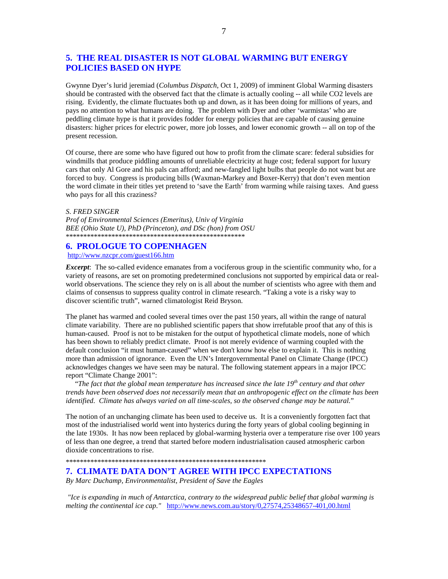## **5. THE REAL DISASTER IS NOT GLOBAL WARMING BUT ENERGY POLICIES BASED ON HYPE**

Gwynne Dyer's lurid jeremiad (*Columbus Dispatch*, Oct 1, 2009) of imminent Global Warming disasters should be contrasted with the observed fact that the climate is actually cooling -- all while CO2 levels are rising. Evidently, the climate fluctuates both up and down, as it has been doing for millions of years, and pays no attention to what humans are doing. The problem with Dyer and other 'warmistas' who are peddling climate hype is that it provides fodder for energy policies that are capable of causing genuine disasters: higher prices for electric power, more job losses, and lower economic growth -- all on top of the present recession.

Of course, there are some who have figured out how to profit from the climate scare: federal subsidies for windmills that produce piddling amounts of unreliable electricity at huge cost; federal support for luxury cars that only Al Gore and his pals can afford; and new-fangled light bulbs that people do not want but are forced to buy. Congress is producing bills (Waxman-Markey and Boxer-Kerry) that don't even mention the word climate in their titles yet pretend to 'save the Earth' from warming while raising taxes. And guess who pays for all this craziness?

#### *S. FRED SINGER*

*Prof of Environmental Sciences (Emeritus), Univ of Virginia BEE (Ohio State U), PhD (Princeton), and DSc (hon) from OSU*  \*\*\*\*\*\*\*\*\*\*\*\*\*\*\*\*\*\*\*\*\*\*\*\*\*\*\*\*\*\*\*\*\*\*\*\*\*\*\*\*\*\*\*\*\*\*\*\*\*\*\*

#### **6. PROLOGUE TO COPENHAGEN**

http://www.nzcpr.com/guest166.htm

*Excerpt*: The so-called evidence emanates from a vociferous group in the scientific community who, for a variety of reasons, are set on promoting predetermined conclusions not supported by empirical data or realworld observations. The science they rely on is all about the number of scientists who agree with them and claims of consensus to suppress quality control in climate research. "Taking a vote is a risky way to discover scientific truth", warned climatologist Reid Bryson.

The planet has warmed and cooled several times over the past 150 years, all within the range of natural climate variability. There are no published scientific papers that show irrefutable proof that any of this is human-caused. Proof is not to be mistaken for the output of hypothetical climate models, none of which has been shown to reliably predict climate. Proof is not merely evidence of warming coupled with the default conclusion "it must human-caused" when we don't know how else to explain it. This is nothing more than admission of ignorance. Even the UN's Intergovernmental Panel on Climate Change (IPCC) acknowledges changes we have seen may be natural. The following statement appears in a major IPCC report "Climate Change 2001":

 "*The fact that the global mean temperature has increased since the late 19th century and that other trends have been observed does not necessarily mean that an anthropogenic effect on the climate has been identified. Climate has always varied on all time-scales, so the observed change may be natural.*"

The notion of an unchanging climate has been used to deceive us. It is a conveniently forgotten fact that most of the industrialised world went into hysterics during the forty years of global cooling beginning in the late 1930s. It has now been replaced by global-warming hysteria over a temperature rise over 100 years of less than one degree, a trend that started before modern industrialisation caused atmospheric carbon dioxide concentrations to rise.

#### \*\*\*\*\*\*\*\*\*\*\*\*\*\*\*\*\*\*\*\*\*\*\*\*\*\*\*\*\*\*\*\*\*\*\*\*\*\*\*\*\*\*\*\*\*\*\*\*\*\*\*\*\*\*\*\*\*

#### **7. CLIMATE DATA DON'T AGREE WITH IPCC EXPECTATIONS**

*By Marc Duchamp, Environmentalist, President of Save the Eagles* 

 *"Ice is expanding in much of Antarctica, contrary to the widespread public belief that global warming is melting the continental ice cap."* http://www.news.com.au/story/0,27574,25348657-401,00.html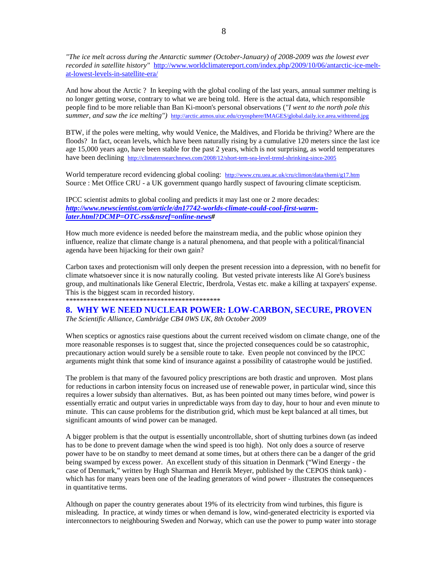*"The ice melt across during the Antarctic summer (October-January) of 2008-2009 was the lowest ever recorded in satellite history"* http://www.worldclimatereport.com/index.php/2009/10/06/antarctic-ice-meltat-lowest-levels-in-satellite-era/

And how about the Arctic ? In keeping with the global cooling of the last years, annual summer melting is no longer getting worse, contrary to what we are being told. Here is the actual data, which responsible people find to be more reliable than Ban Ki-moon's personal observations (*"I went to the north pole this summer, and saw the ice melting")* http://arctic.atmos.uiuc.edu/cryosphere/IMAGES/global.daily.ice.area.withtrend.jpg

BTW, if the poles were melting, why would Venice, the Maldives, and Florida be thriving? Where are the floods? In fact, ocean levels, which have been naturally rising by a cumulative 120 meters since the last ice age 15,000 years ago, have been stable for the past 2 years, which is not surprising, as world temperatures have been declining http://climateresearchnews.com/2008/12/short-tem-sea-level-trend-shrinking-since-2005

World temperature record evidencing global cooling: http://www.cru.uea.ac.uk/cru/climon/data/themi/g17.htm Source : Met Office CRU - a UK government quango hardly suspect of favouring climate scepticism.

IPCC scientist admits to global cooling and predicts it may last one or 2 more decades: *http://www.newscientist.com/article/dn17742-worlds-climate-could-cool-first-warmlater.html?DCMP=OTC-rss&nsref=online-news#* 

How much more evidence is needed before the mainstream media, and the public whose opinion they influence, realize that climate change is a natural phenomena, and that people with a political/financial agenda have been hijacking for their own gain?

Carbon taxes and protectionism will only deepen the present recession into a depression, with no benefit for climate whatsoever since it is now naturally cooling. But vested private interests like Al Gore's business group, and multinationals like General Electric, Iberdrola, Vestas etc. make a killing at taxpayers' expense. This is the biggest scam in recorded history.

\*\*\*\*\*\*\*\*\*\*\*\*\*\*\*\*\*\*\*\*\*\*\*\*\*\*\*\*\*\*\*\*\*\*\*\*\*\*\*\*\*\*\*\*

## **8. WHY WE NEED NUCLEAR POWER: LOW-CARBON, SECURE, PROVEN**

*The Scientific Alliance, Cambridge CB4 0WS UK, 8th October 2009* 

When sceptics or agnostics raise questions about the current received wisdom on climate change, one of the more reasonable responses is to suggest that, since the projected consequences could be so catastrophic, precautionary action would surely be a sensible route to take. Even people not convinced by the IPCC arguments might think that some kind of insurance against a possibility of catastrophe would be justified.

The problem is that many of the favoured policy prescriptions are both drastic and unproven. Most plans for reductions in carbon intensity focus on increased use of renewable power, in particular wind, since this requires a lower subsidy than alternatives. But, as has been pointed out many times before, wind power is essentially erratic and output varies in unpredictable ways from day to day, hour to hour and even minute to minute. This can cause problems for the distribution grid, which must be kept balanced at all times, but significant amounts of wind power can be managed.

A bigger problem is that the output is essentially uncontrollable, short of shutting turbines down (as indeed has to be done to prevent damage when the wind speed is too high). Not only does a source of reserve power have to be on standby to meet demand at some times, but at others there can be a danger of the grid being swamped by excess power. An excellent study of this situation in Denmark ("Wind Energy - the case of Denmark," written by Hugh Sharman and Henrik Meyer, published by the CEPOS think tank) which has for many years been one of the leading generators of wind power - illustrates the consequences in quantitative terms.

Although on paper the country generates about 19% of its electricity from wind turbines, this figure is misleading. In practice, at windy times or when demand is low, wind-generated electricity is exported via interconnectors to neighbouring Sweden and Norway, which can use the power to pump water into storage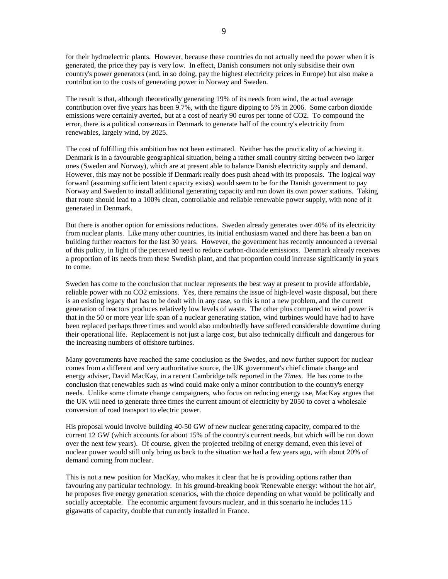for their hydroelectric plants. However, because these countries do not actually need the power when it is generated, the price they pay is very low. In effect, Danish consumers not only subsidise their own country's power generators (and, in so doing, pay the highest electricity prices in Europe) but also make a contribution to the costs of generating power in Norway and Sweden.

The result is that, although theoretically generating 19% of its needs from wind, the actual average contribution over five years has been 9.7%, with the figure dipping to 5% in 2006. Some carbon dioxide emissions were certainly averted, but at a cost of nearly 90 euros per tonne of CO2. To compound the error, there is a political consensus in Denmark to generate half of the country's electricity from renewables, largely wind, by 2025.

The cost of fulfilling this ambition has not been estimated. Neither has the practicality of achieving it. Denmark is in a favourable geographical situation, being a rather small country sitting between two larger ones (Sweden and Norway), which are at present able to balance Danish electricity supply and demand. However, this may not be possible if Denmark really does push ahead with its proposals. The logical way forward (assuming sufficient latent capacity exists) would seem to be for the Danish government to pay Norway and Sweden to install additional generating capacity and run down its own power stations. Taking that route should lead to a 100% clean, controllable and reliable renewable power supply, with none of it generated in Denmark.

But there is another option for emissions reductions. Sweden already generates over 40% of its electricity from nuclear plants. Like many other countries, its initial enthusiasm waned and there has been a ban on building further reactors for the last 30 years. However, the government has recently announced a reversal of this policy, in light of the perceived need to reduce carbon-dioxide emissions. Denmark already receives a proportion of its needs from these Swedish plant, and that proportion could increase significantly in years to come.

Sweden has come to the conclusion that nuclear represents the best way at present to provide affordable, reliable power with no CO2 emissions. Yes, there remains the issue of high-level waste disposal, but there is an existing legacy that has to be dealt with in any case, so this is not a new problem, and the current generation of reactors produces relatively low levels of waste. The other plus compared to wind power is that in the 50 or more year life span of a nuclear generating station, wind turbines would have had to have been replaced perhaps three times and would also undoubtedly have suffered considerable downtime during their operational life. Replacement is not just a large cost, but also technically difficult and dangerous for the increasing numbers of offshore turbines.

Many governments have reached the same conclusion as the Swedes, and now further support for nuclear comes from a different and very authoritative source, the UK government's chief climate change and energy adviser, David MacKay, in a recent Cambridge talk reported in the *Times*. He has come to the conclusion that renewables such as wind could make only a minor contribution to the country's energy needs. Unlike some climate change campaigners, who focus on reducing energy use, MacKay argues that the UK will need to generate three times the current amount of electricity by 2050 to cover a wholesale conversion of road transport to electric power.

His proposal would involve building 40-50 GW of new nuclear generating capacity, compared to the current 12 GW (which accounts for about 15% of the country's current needs, but which will be run down over the next few years). Of course, given the projected trebling of energy demand, even this level of nuclear power would still only bring us back to the situation we had a few years ago, with about 20% of demand coming from nuclear.

This is not a new position for MacKay, who makes it clear that he is providing options rather than favouring any particular technology. In his ground-breaking book 'Renewable energy: without the hot air', he proposes five energy generation scenarios, with the choice depending on what would be politically and socially acceptable. The economic argument favours nuclear, and in this scenario he includes 115 gigawatts of capacity, double that currently installed in France.